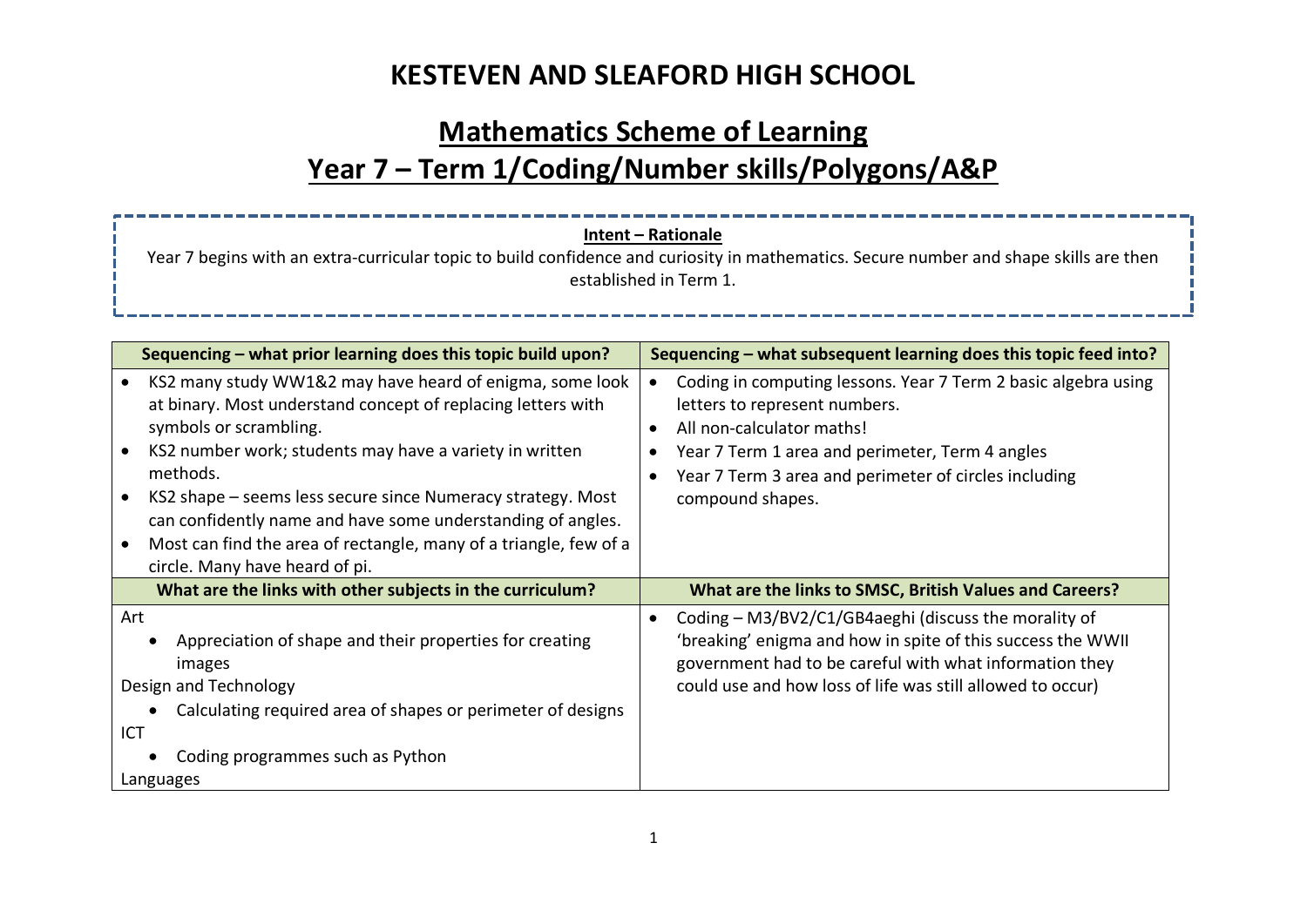# **Mathematics Scheme of Learning Year 7 – Term 1/Coding/Number skills/Polygons/A&P**

| Intent - Rationale<br>Year 7 begins with an extra-curricular topic to build confidence and curiosity in mathematics. Secure number and shape skills are then<br>established in Term 1.                                                                                                                                                                                                                                                                         |                                                                                                                                                                                                                                                                           |  |  |
|----------------------------------------------------------------------------------------------------------------------------------------------------------------------------------------------------------------------------------------------------------------------------------------------------------------------------------------------------------------------------------------------------------------------------------------------------------------|---------------------------------------------------------------------------------------------------------------------------------------------------------------------------------------------------------------------------------------------------------------------------|--|--|
| Sequencing - what prior learning does this topic build upon?                                                                                                                                                                                                                                                                                                                                                                                                   | Sequencing - what subsequent learning does this topic feed into?                                                                                                                                                                                                          |  |  |
| KS2 many study WW1&2 may have heard of enigma, some look<br>at binary. Most understand concept of replacing letters with<br>symbols or scrambling.<br>KS2 number work; students may have a variety in written<br>methods.<br>KS2 shape – seems less secure since Numeracy strategy. Most<br>can confidently name and have some understanding of angles.<br>Most can find the area of rectangle, many of a triangle, few of a<br>circle. Many have heard of pi. | Coding in computing lessons. Year 7 Term 2 basic algebra using<br>$\bullet$<br>letters to represent numbers.<br>All non-calculator maths!<br>Year 7 Term 1 area and perimeter, Term 4 angles<br>Year 7 Term 3 area and perimeter of circles including<br>compound shapes. |  |  |
| What are the links with other subjects in the curriculum?                                                                                                                                                                                                                                                                                                                                                                                                      | What are the links to SMSC, British Values and Careers?                                                                                                                                                                                                                   |  |  |
| Art<br>Appreciation of shape and their properties for creating<br>images<br>Design and Technology<br>Calculating required area of shapes or perimeter of designs<br>ICT<br>Coding programmes such as Python<br>Languages                                                                                                                                                                                                                                       | Coding - M3/BV2/C1/GB4aeghi (discuss the morality of<br>'breaking' enigma and how in spite of this success the WWII<br>government had to be careful with what information they<br>could use and how loss of life was still allowed to occur)                              |  |  |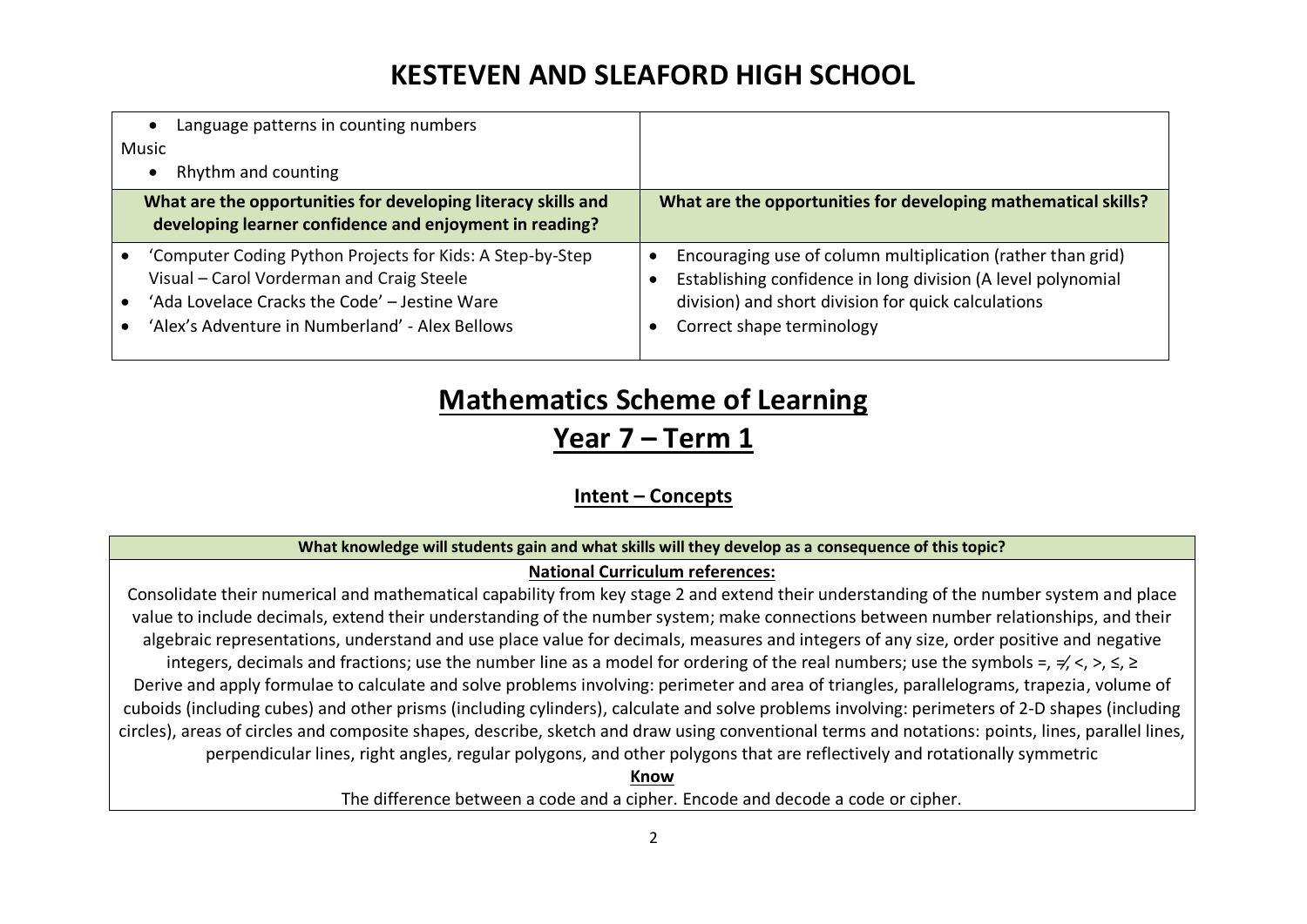| Language patterns in counting numbers<br>Music                                                                                                                                                             |                                                                                                                                                                                                                 |
|------------------------------------------------------------------------------------------------------------------------------------------------------------------------------------------------------------|-----------------------------------------------------------------------------------------------------------------------------------------------------------------------------------------------------------------|
| Rhythm and counting                                                                                                                                                                                        |                                                                                                                                                                                                                 |
| What are the opportunities for developing literacy skills and<br>developing learner confidence and enjoyment in reading?                                                                                   | What are the opportunities for developing mathematical skills?                                                                                                                                                  |
| 'Computer Coding Python Projects for Kids: A Step-by-Step<br>Visual - Carol Vorderman and Craig Steele<br>'Ada Lovelace Cracks the Code' - Jestine Ware<br>'Alex's Adventure in Numberland' - Alex Bellows | Encouraging use of column multiplication (rather than grid)<br>Establishing confidence in long division (A level polynomial<br>division) and short division for quick calculations<br>Correct shape terminology |

# **Mathematics Scheme of Learning**

**Year 7 – Term 1**

## **Intent – Concepts**

#### **What knowledge will students gain and what skills will they develop as a consequence of this topic?**

### **National Curriculum references:**

Consolidate their numerical and mathematical capability from key stage 2 and extend their understanding of the number system and place value to include decimals, extend their understanding of the number system; make connections between number relationships, and their algebraic representations, understand and use place value for decimals, measures and integers of any size, order positive and negative integers, decimals and fractions; use the number line as a model for ordering of the real numbers; use the symbols =,  $\neq$ ,  $\lt$ ,  $\gt$ ,  $\leq$ ,  $\geq$ Derive and apply formulae to calculate and solve problems involving: perimeter and area of triangles, parallelograms, trapezia, volume of cuboids (including cubes) and other prisms (including cylinders), calculate and solve problems involving: perimeters of 2-D shapes (including circles), areas of circles and composite shapes, describe, sketch and draw using conventional terms and notations: points, lines, parallel lines, perpendicular lines, right angles, regular polygons, and other polygons that are reflectively and rotationally symmetric

**Know**

The difference between a code and a cipher. Encode and decode a code or cipher.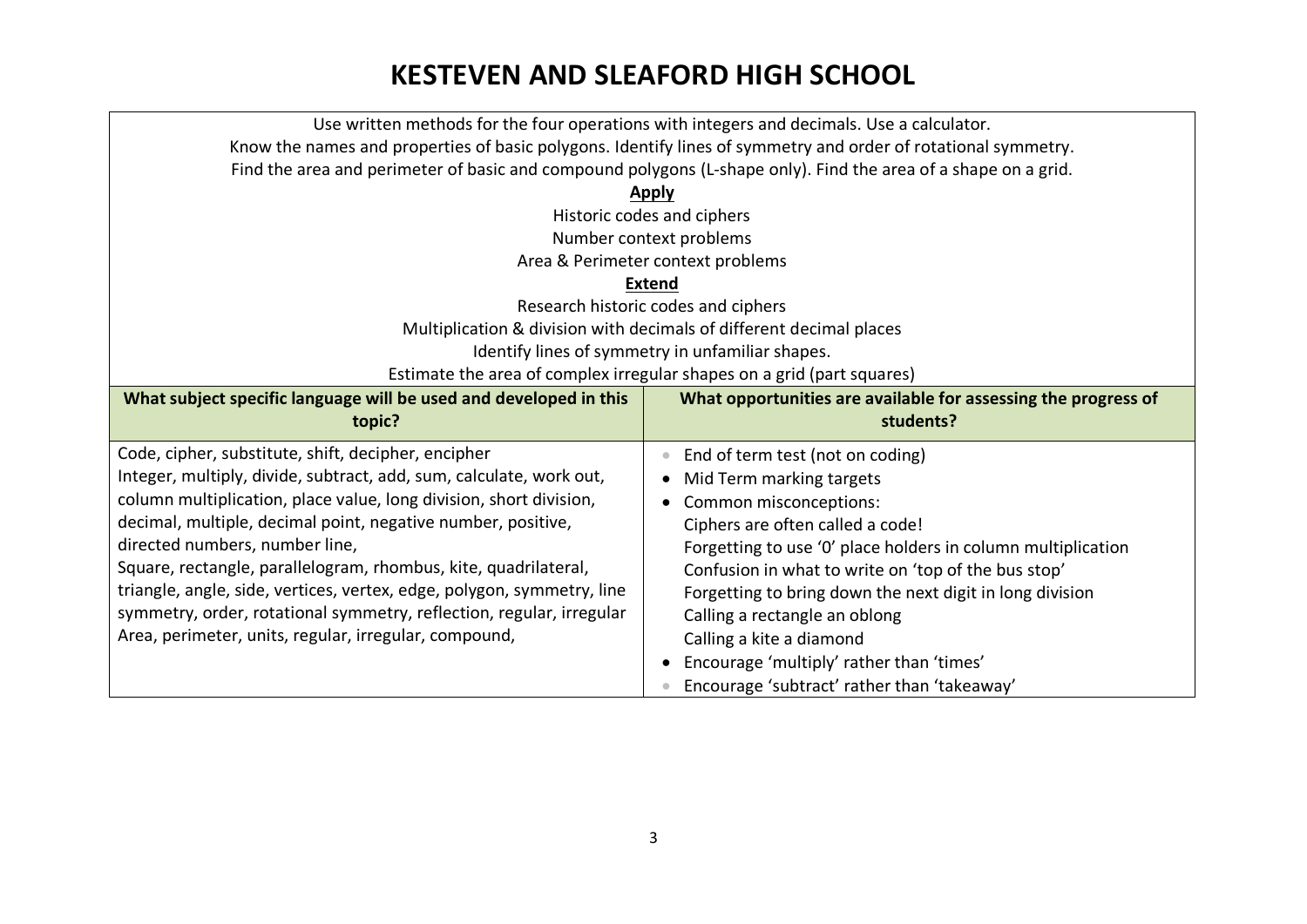|                                                                                                                | Use written methods for the four operations with integers and decimals. Use a calculator. |  |  |  |
|----------------------------------------------------------------------------------------------------------------|-------------------------------------------------------------------------------------------|--|--|--|
| Know the names and properties of basic polygons. Identify lines of symmetry and order of rotational symmetry.  |                                                                                           |  |  |  |
| Find the area and perimeter of basic and compound polygons (L-shape only). Find the area of a shape on a grid. |                                                                                           |  |  |  |
| <b>Apply</b>                                                                                                   |                                                                                           |  |  |  |
| Historic codes and ciphers                                                                                     |                                                                                           |  |  |  |
| Number context problems                                                                                        |                                                                                           |  |  |  |
|                                                                                                                | Area & Perimeter context problems                                                         |  |  |  |
|                                                                                                                | <b>Extend</b>                                                                             |  |  |  |
|                                                                                                                | Research historic codes and ciphers                                                       |  |  |  |
|                                                                                                                | Multiplication & division with decimals of different decimal places                       |  |  |  |
|                                                                                                                | Identify lines of symmetry in unfamiliar shapes.                                          |  |  |  |
|                                                                                                                | Estimate the area of complex irregular shapes on a grid (part squares)                    |  |  |  |
| What subject specific language will be used and developed in this                                              | What opportunities are available for assessing the progress of                            |  |  |  |
|                                                                                                                |                                                                                           |  |  |  |
| topic?                                                                                                         | students?                                                                                 |  |  |  |
| Code, cipher, substitute, shift, decipher, encipher                                                            | End of term test (not on coding)<br>$\bullet$                                             |  |  |  |
| Integer, multiply, divide, subtract, add, sum, calculate, work out,                                            | Mid Term marking targets                                                                  |  |  |  |
| column multiplication, place value, long division, short division,                                             | Common misconceptions:                                                                    |  |  |  |
| decimal, multiple, decimal point, negative number, positive,                                                   | Ciphers are often called a code!                                                          |  |  |  |
| directed numbers, number line,                                                                                 | Forgetting to use '0' place holders in column multiplication                              |  |  |  |
| Square, rectangle, parallelogram, rhombus, kite, quadrilateral,                                                | Confusion in what to write on 'top of the bus stop'                                       |  |  |  |
| triangle, angle, side, vertices, vertex, edge, polygon, symmetry, line                                         | Forgetting to bring down the next digit in long division                                  |  |  |  |
| symmetry, order, rotational symmetry, reflection, regular, irregular                                           | Calling a rectangle an oblong                                                             |  |  |  |
| Area, perimeter, units, regular, irregular, compound,                                                          | Calling a kite a diamond                                                                  |  |  |  |
|                                                                                                                | Encourage 'multiply' rather than 'times'<br>$\bullet$                                     |  |  |  |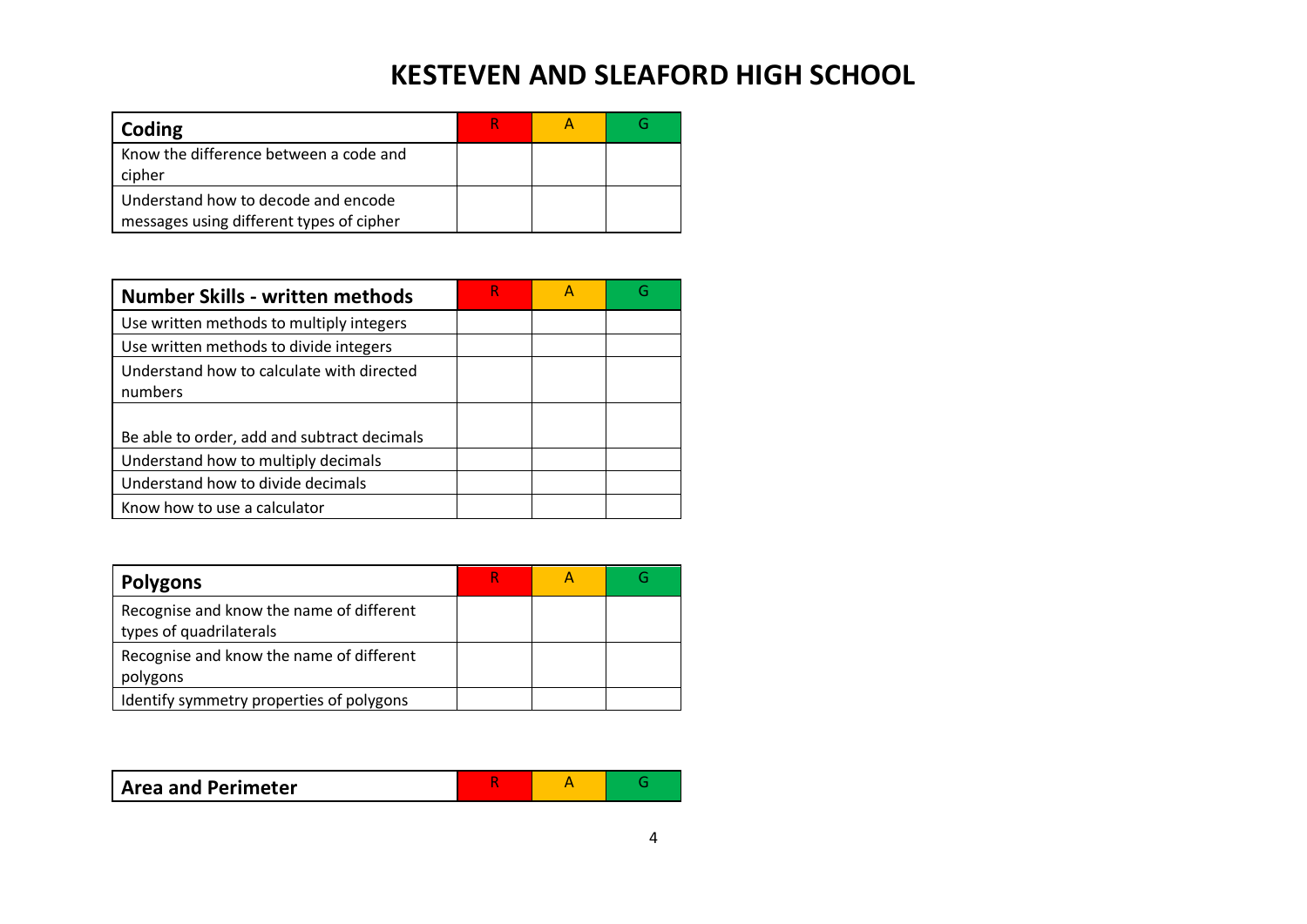| Coding                                                                          |  |  |
|---------------------------------------------------------------------------------|--|--|
| Know the difference between a code and<br>cipher                                |  |  |
| Understand how to decode and encode<br>messages using different types of cipher |  |  |

| <b>Number Skills - written methods</b>               | R | G |
|------------------------------------------------------|---|---|
| Use written methods to multiply integers             |   |   |
| Use written methods to divide integers               |   |   |
| Understand how to calculate with directed<br>numbers |   |   |
|                                                      |   |   |
| Be able to order, add and subtract decimals          |   |   |
| Understand how to multiply decimals                  |   |   |
| Understand how to divide decimals                    |   |   |
| Know how to use a calculator                         |   |   |

| <b>Polygons</b>                                                     |  |  |
|---------------------------------------------------------------------|--|--|
| Recognise and know the name of different<br>types of quadrilaterals |  |  |
| Recognise and know the name of different<br>polygons                |  |  |
| Identify symmetry properties of polygons                            |  |  |

|--|